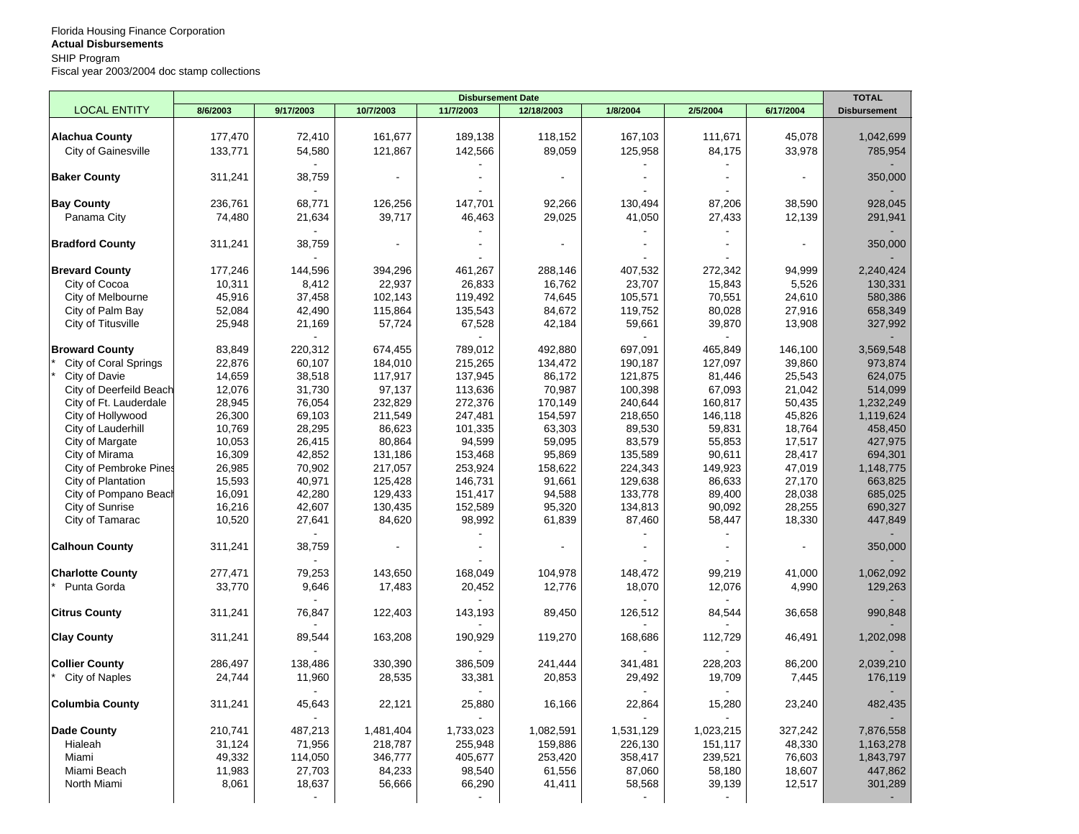|                               | <b>Disbursement Date</b> |                |                |           |            |           |           |           |                     |
|-------------------------------|--------------------------|----------------|----------------|-----------|------------|-----------|-----------|-----------|---------------------|
| <b>LOCAL ENTITY</b>           | 8/6/2003                 | 9/17/2003      | 10/7/2003      | 11/7/2003 | 12/18/2003 | 1/8/2004  | 2/5/2004  | 6/17/2004 | <b>Disbursement</b> |
|                               |                          |                |                |           |            |           |           |           |                     |
| <b>Alachua County</b>         | 177,470                  | 72,410         | 161,677        | 189,138   | 118,152    | 167,103   | 111,671   | 45,078    | 1,042,699           |
| City of Gainesville           | 133,771                  | 54,580         | 121,867        | 142,566   | 89,059     | 125,958   | 84,175    | 33,978    | 785,954             |
| <b>Baker County</b>           | 311,241                  | 38,759         | $\blacksquare$ |           |            |           |           |           | 350,000             |
|                               |                          |                |                |           |            |           |           |           |                     |
| <b>Bay County</b>             | 236,761                  | 68,771         | 126,256        | 147,701   | 92,266     | 130,494   | 87,206    | 38,590    | 928,045             |
| Panama City                   | 74,480                   | 21,634         | 39,717         | 46,463    | 29,025     | 41,050    | 27,433    | 12,139    | 291,941             |
|                               |                          |                |                |           |            |           |           |           |                     |
| <b>Bradford County</b>        | 311,241                  | 38,759         |                |           |            |           |           |           | 350,000             |
|                               |                          |                |                |           |            |           |           |           |                     |
| <b>Brevard County</b>         | 177,246                  | 144,596        | 394,296        | 461,267   | 288,146    | 407,532   | 272,342   | 94,999    | 2,240,424           |
| City of Cocoa                 | 10,311                   | 8,412          | 22,937         | 26,833    | 16,762     | 23,707    | 15,843    | 5,526     | 130,331             |
| City of Melbourne             | 45,916                   | 37,458         | 102,143        | 119,492   | 74,645     | 105,571   | 70,551    | 24,610    | 580,386             |
| City of Palm Bay              | 52,084                   | 42,490         | 115,864        | 135,543   | 84,672     | 119,752   | 80,028    | 27,916    | 658,349             |
| City of Titusville            | 25,948                   | 21,169         | 57,724         | 67,528    | 42,184     | 59,661    | 39,870    | 13,908    | 327,992             |
| <b>Broward County</b>         | 83,849                   | 220,312        | 674,455        | 789,012   | 492,880    | 697,091   | 465,849   | 146,100   | 3,569,548           |
| City of Coral Springs         | 22,876                   | 60,107         | 184,010        | 215,265   | 134,472    | 190,187   | 127,097   | 39,860    | 973,874             |
| City of Davie                 | 14,659                   | 38,518         | 117,917        | 137,945   | 86,172     | 121,875   | 81,446    | 25,543    | 624,075             |
| City of Deerfeild Beach       | 12,076                   | 31,730         | 97,137         | 113,636   | 70,987     | 100,398   | 67,093    | 21,042    | 514,099             |
| City of Ft. Lauderdale        | 28,945                   | 76,054         | 232,829        | 272,376   | 170,149    | 240,644   | 160,817   | 50,435    | 1,232,249           |
| City of Hollywood             | 26,300                   | 69,103         | 211,549        | 247,481   | 154,597    | 218,650   | 146,118   | 45,826    | 1,119,624           |
| City of Lauderhill            | 10,769                   | 28,295         | 86,623         | 101,335   | 63,303     | 89,530    | 59,831    | 18,764    | 458,450             |
| City of Margate               | 10,053                   | 26,415         | 80,864         | 94,599    | 59,095     | 83,579    | 55,853    | 17,517    | 427,975             |
| City of Mirama                | 16,309                   | 42,852         | 131,186        | 153,468   | 95,869     | 135,589   | 90,611    | 28,417    | 694,301             |
| <b>City of Pembroke Pines</b> | 26,985                   | 70,902         | 217,057        | 253,924   | 158,622    | 224,343   | 149.923   | 47,019    | 1,148,775           |
| City of Plantation            | 15,593                   | 40,971         | 125,428        | 146,731   | 91,661     | 129,638   | 86,633    | 27,170    | 663,825             |
| City of Pompano Beach         | 16,091                   | 42,280         | 129,433        | 151,417   | 94,588     | 133,778   | 89,400    | 28,038    | 685,025             |
| City of Sunrise               | 16,216                   | 42,607         | 130,435        | 152,589   | 95,320     | 134,813   | 90,092    | 28,255    | 690,327             |
| City of Tamarac               | 10,520                   | 27,641         | 84,620         | 98,992    | 61,839     | 87,460    | 58,447    | 18,330    | 447,849             |
|                               |                          |                |                |           |            |           |           |           |                     |
| <b>Calhoun County</b>         | 311,241                  | 38,759         | $\blacksquare$ |           |            |           |           |           | 350,000             |
|                               |                          |                |                |           |            |           |           |           |                     |
| <b>Charlotte County</b>       | 277,471                  | 79,253         | 143,650        | 168,049   | 104,978    | 148,472   | 99,219    | 41,000    | 1,062,092           |
| Punta Gorda                   | 33,770                   | 9,646          | 17,483         | 20,452    | 12,776     | 18,070    | 12,076    | 4,990     | 129,263             |
|                               |                          |                |                |           |            |           |           |           |                     |
| <b>Citrus County</b>          | 311,241                  | 76,847         | 122,403        | 143,193   | 89,450     | 126,512   | 84,544    | 36,658    | 990,848             |
| <b>Clay County</b>            | 311,241                  | 89,544         | 163,208        | 190,929   | 119,270    | 168,686   | 112,729   | 46,491    | 1,202,098           |
|                               |                          |                |                |           |            |           |           |           |                     |
| <b>Collier County</b>         | 286,497                  | 138,486        | 330,390        | 386,509   | 241,444    | 341,481   | 228,203   | 86,200    | 2,039,210           |
| City of Naples                | 24,744                   | 11,960         | 28,535         | 33,381    | 20,853     | 29,492    | 19,709    | 7,445     | 176,119             |
|                               |                          |                |                |           |            |           |           |           |                     |
| <b>Columbia County</b>        | 311,241                  | 45,643         | 22,121         | 25,880    | 16,166     | 22,864    | 15,280    | 23,240    | 482,435             |
| <b>Dade County</b>            | 210,741                  | 487,213        | 1,481,404      | 1,733,023 | 1,082,591  | 1,531,129 | 1,023,215 | 327,242   | 7,876,558           |
| Hialeah                       | 31,124                   | 71,956         | 218,787        | 255,948   | 159,886    | 226,130   | 151,117   | 48,330    | 1,163,278           |
| Miami                         | 49,332                   | 114,050        | 346,777        | 405,677   | 253,420    | 358,417   | 239,521   | 76,603    | 1,843,797           |
| Miami Beach                   | 11,983                   | 27,703         | 84,233         | 98,540    | 61,556     | 87,060    | 58,180    | 18,607    | 447,862             |
| North Miami                   | 8,061                    | 18,637         | 56,666         | 66,290    | 41,411     | 58,568    | 39,139    | 12,517    | 301,289             |
|                               |                          | $\blacksquare$ |                |           |            |           |           |           | $\blacksquare$      |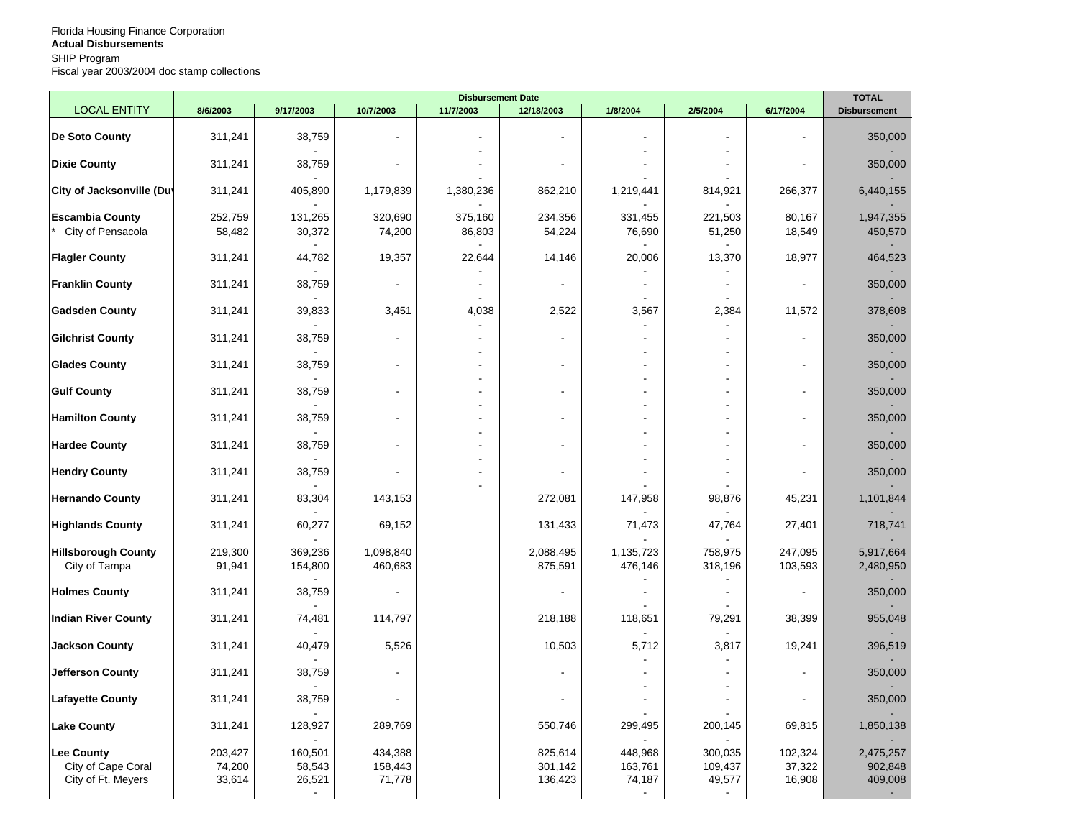|                                                        | <b>Disbursement Date</b>    |                             |                              |                   |                               |                              |                              |                             |                                 |
|--------------------------------------------------------|-----------------------------|-----------------------------|------------------------------|-------------------|-------------------------------|------------------------------|------------------------------|-----------------------------|---------------------------------|
| <b>LOCAL ENTITY</b>                                    | 8/6/2003                    | 9/17/2003                   | 10/7/2003                    | 11/7/2003         | 12/18/2003                    | 1/8/2004                     | 2/5/2004                     | 6/17/2004                   | <b>Disbursement</b>             |
| <b>De Soto County</b>                                  | 311,241                     | 38,759                      | $\overline{\phantom{a}}$     |                   |                               |                              |                              |                             | 350,000                         |
| <b>Dixie County</b>                                    | 311,241                     | 38,759                      | $\blacksquare$               |                   |                               |                              |                              |                             | 350,000                         |
| <b>City of Jacksonville (Duv</b>                       | 311,241                     | 405,890                     | 1,179,839                    | 1,380,236         | 862,210                       | 1,219,441                    | 814,921                      | 266,377                     | 6,440,155                       |
| <b>Escambia County</b><br>City of Pensacola            | 252,759<br>58,482           | 131,265<br>30,372           | 320,690<br>74,200            | 375,160<br>86,803 | 234,356<br>54,224             | 331,455<br>76,690            | 221,503<br>51,250            | 80,167<br>18,549            | 1,947,355<br>450,570            |
| <b>Flagler County</b>                                  | 311,241                     | 44,782                      | 19,357                       | 22,644            | 14,146                        | 20,006                       | 13,370                       | 18,977                      | 464,523                         |
| <b>Franklin County</b>                                 | 311,241                     | 38,759                      | $\blacksquare$               | $\blacksquare$    |                               | $\blacksquare$               |                              | $\blacksquare$              | 350,000                         |
| <b>Gadsden County</b>                                  | 311,241                     | 39,833                      | 3,451                        | 4,038             | 2,522                         | 3,567                        | 2,384                        | 11,572                      | 378,608                         |
| <b>Gilchrist County</b>                                | 311,241                     | 38,759                      | $\sim$                       |                   |                               |                              |                              | $\blacksquare$              | 350,000                         |
| <b>Glades County</b>                                   | 311,241                     | 38,759                      | $\blacksquare$               | ÷                 |                               | $\overline{a}$               |                              |                             | 350,000                         |
| <b>Gulf County</b>                                     | 311,241                     | 38,759                      | $\blacksquare$               | $\blacksquare$    |                               |                              |                              |                             | 350,000                         |
| <b>Hamilton County</b>                                 | 311,241                     | 38,759                      | ÷.                           | $\sim$            |                               |                              |                              |                             | 350,000                         |
| <b>Hardee County</b>                                   | 311,241                     | 38,759                      | $\sim$                       |                   |                               |                              |                              |                             | 350,000                         |
| <b>Hendry County</b>                                   | 311,241                     | 38,759                      | ÷.                           | $\sim$            |                               |                              |                              |                             | 350,000                         |
| <b>Hernando County</b>                                 | 311,241                     | 83,304                      | 143,153                      |                   | 272,081                       | 147,958                      | 98,876                       | 45,231                      | 1,101,844                       |
| <b>Highlands County</b>                                | 311,241                     | 60,277                      | 69,152                       |                   | 131,433                       | 71,473                       | 47,764                       | 27,401                      | 718,741                         |
| <b>Hillsborough County</b><br>City of Tampa            | 219,300<br>91,941           | 369,236<br>154,800          | 1,098,840<br>460,683         |                   | 2,088,495<br>875,591          | 1,135,723<br>476,146         | 758,975<br>318,196           | 247,095<br>103,593          | 5,917,664<br>2,480,950          |
| <b>Holmes County</b>                                   | 311,241                     | 38,759                      | $\blacksquare$               |                   |                               |                              |                              |                             | 350,000                         |
| <b>Indian River County</b>                             | 311,241                     | 74,481                      | 114,797                      |                   | 218,188                       | 118,651                      | 79,291                       | 38,399                      | 955,048                         |
| <b>Jackson County</b>                                  | 311,241                     | 40,479                      | 5,526                        |                   | 10,503                        | 5,712                        | 3,817                        | 19,241                      | 396,519                         |
| Jefferson County                                       | 311,241                     | 38,759                      |                              |                   |                               |                              |                              |                             | 350,000                         |
| <b>Lafayette County</b>                                | 311,241                     | 38,759                      | $\blacksquare$               |                   |                               |                              |                              |                             | 350,000                         |
| Lake County                                            | 311,241                     | 128,927                     | 289,769                      |                   | 550,746                       | 299,495                      | 200,145                      | 69,815                      | 1,850,138                       |
| Lee County<br>City of Cape Coral<br>City of Ft. Meyers | 203,427<br>74,200<br>33,614 | 160,501<br>58,543<br>26,521 | 434,388<br>158,443<br>71,778 |                   | 825,614<br>301,142<br>136,423 | 448,968<br>163,761<br>74,187 | 300,035<br>109,437<br>49,577 | 102,324<br>37,322<br>16,908 | 2,475,257<br>902,848<br>409,008 |
|                                                        |                             |                             |                              |                   |                               |                              |                              |                             |                                 |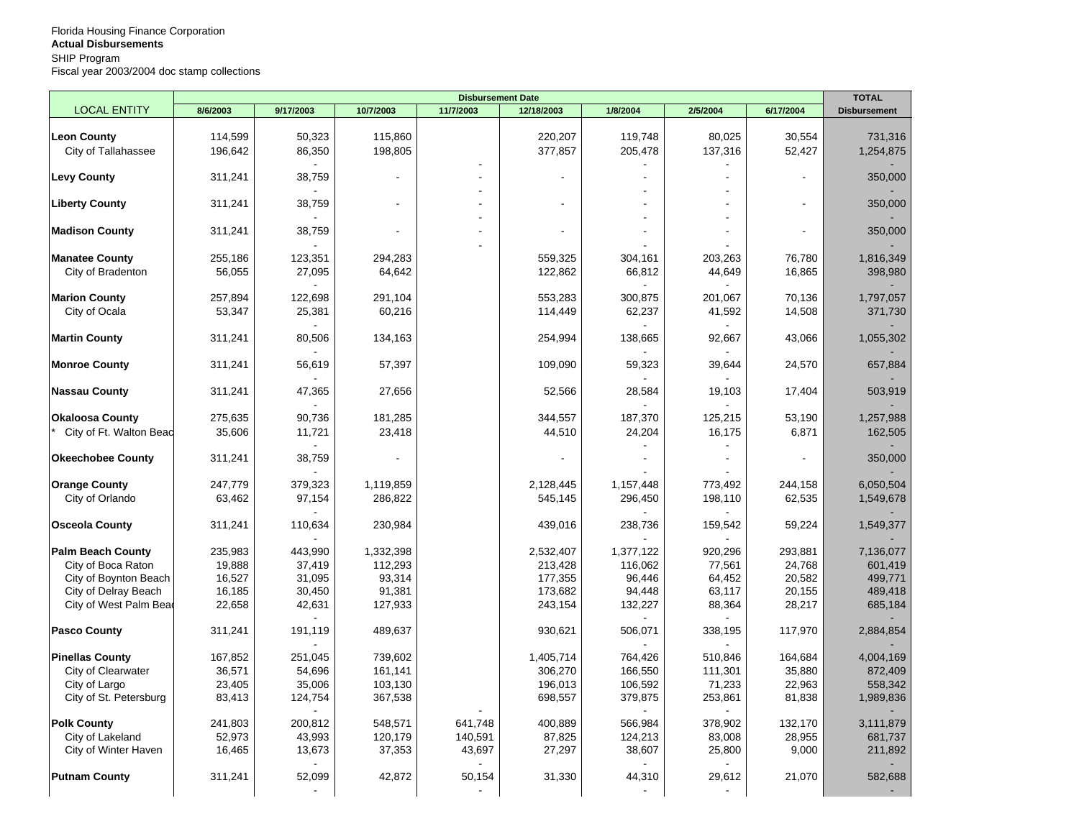|                          |          |           | <b>Disbursement Date</b> |           |                |           |          |           |                     |
|--------------------------|----------|-----------|--------------------------|-----------|----------------|-----------|----------|-----------|---------------------|
| <b>LOCAL ENTITY</b>      | 8/6/2003 | 9/17/2003 | 10/7/2003                | 11/7/2003 | 12/18/2003     | 1/8/2004  | 2/5/2004 | 6/17/2004 | <b>Disbursement</b> |
|                          |          |           |                          |           |                |           |          |           |                     |
| <b>Leon County</b>       | 114,599  | 50,323    | 115,860                  |           | 220,207        | 119,748   | 80,025   | 30,554    | 731,316             |
| City of Tallahassee      | 196,642  | 86,350    | 198,805                  |           | 377,857        | 205,478   | 137,316  | 52,427    | 1,254,875           |
|                          |          |           |                          |           |                |           |          |           |                     |
| <b>Levy County</b>       | 311,241  | 38,759    |                          |           | $\overline{a}$ |           |          |           | 350,000             |
| <b>Liberty County</b>    | 311,241  | 38,759    |                          |           |                |           |          |           | 350,000             |
|                          |          |           |                          |           |                |           |          |           |                     |
|                          | 311,241  | 38,759    |                          |           |                |           |          |           | 350,000             |
| <b>Madison County</b>    |          |           |                          |           |                |           |          |           |                     |
| <b>Manatee County</b>    | 255,186  | 123,351   | 294,283                  |           | 559,325        | 304,161   | 203,263  | 76,780    | 1,816,349           |
| City of Bradenton        | 56,055   | 27,095    | 64,642                   |           | 122,862        | 66,812    | 44,649   | 16,865    | 398,980             |
|                          |          |           |                          |           |                |           |          |           |                     |
| <b>Marion County</b>     | 257,894  | 122,698   | 291,104                  |           | 553,283        | 300,875   | 201,067  | 70,136    | 1,797,057           |
| City of Ocala            | 53,347   | 25,381    | 60,216                   |           | 114,449        | 62,237    | 41,592   | 14,508    | 371,730             |
|                          |          |           |                          |           |                |           |          |           |                     |
| <b>Martin County</b>     | 311,241  | 80,506    | 134,163                  |           | 254,994        | 138,665   | 92,667   | 43,066    | 1,055,302           |
|                          |          |           |                          |           |                |           |          |           |                     |
| <b>Monroe County</b>     | 311,241  | 56,619    | 57,397                   |           | 109,090        | 59,323    | 39,644   | 24,570    | 657,884             |
|                          |          |           |                          |           |                |           |          |           |                     |
| <b>Nassau County</b>     | 311,241  | 47,365    | 27,656                   |           | 52,566         | 28,584    | 19,103   | 17,404    | 503,919             |
|                          |          |           |                          |           |                |           |          |           |                     |
| <b>Okaloosa County</b>   | 275,635  | 90,736    | 181,285                  |           | 344,557        | 187,370   | 125,215  | 53,190    | 1,257,988           |
| City of Ft. Walton Beac  | 35,606   | 11,721    | 23,418                   |           | 44,510         | 24,204    | 16,175   | 6,871     | 162,505             |
|                          |          |           |                          |           |                |           |          |           |                     |
| <b>Okeechobee County</b> | 311,241  | 38,759    |                          |           |                |           | ÷,       |           | 350,000             |
|                          |          |           |                          |           |                |           |          |           |                     |
| <b>Orange County</b>     | 247,779  | 379,323   | 1,119,859                |           | 2,128,445      | 1,157,448 | 773,492  | 244,158   | 6,050,504           |
| City of Orlando          | 63,462   | 97,154    | 286,822                  |           | 545,145        | 296,450   | 198,110  | 62,535    | 1,549,678           |
|                          |          |           |                          |           |                |           |          |           |                     |
| <b>Osceola County</b>    | 311,241  | 110,634   | 230,984                  |           | 439,016        | 238,736   | 159,542  | 59,224    | 1,549,377           |
|                          |          |           |                          |           |                |           |          |           |                     |
| <b>Palm Beach County</b> | 235,983  | 443,990   | 1,332,398                |           | 2,532,407      | 1,377,122 | 920,296  | 293,881   | 7,136,077           |
| City of Boca Raton       | 19,888   | 37,419    | 112,293                  |           | 213,428        | 116,062   | 77,561   | 24,768    | 601,419             |
| City of Boynton Beach    | 16,527   | 31,095    | 93,314                   |           | 177,355        | 96,446    | 64,452   | 20,582    | 499,771             |
| City of Delray Beach     | 16,185   | 30,450    | 91,381                   |           | 173,682        | 94,448    | 63,117   | 20,155    | 489,418             |
| City of West Palm Bead   | 22,658   | 42,631    | 127,933                  |           | 243,154        | 132,227   | 88,364   | 28,217    | 685,184             |
| <b>Pasco County</b>      | 311,241  | 191,119   | 489,637                  |           | 930,621        | 506,071   | 338,195  | 117,970   | 2,884,854           |
|                          |          |           |                          |           |                |           |          |           |                     |
| <b>Pinellas County</b>   | 167,852  | 251,045   | 739,602                  |           | 1,405,714      | 764,426   | 510,846  | 164,684   | 4,004,169           |
| City of Clearwater       | 36,571   | 54,696    | 161,141                  |           | 306,270        | 166,550   | 111,301  | 35,880    | 872,409             |
| City of Largo            | 23,405   | 35,006    | 103,130                  |           | 196,013        | 106,592   | 71,233   | 22,963    | 558,342             |
| City of St. Petersburg   | 83,413   | 124,754   | 367,538                  |           | 698,557        | 379,875   | 253,861  | 81,838    | 1,989,836           |
|                          |          |           |                          |           |                |           |          |           |                     |
| <b>Polk County</b>       | 241,803  | 200,812   | 548,571                  | 641,748   | 400,889        | 566,984   | 378,902  | 132,170   | 3,111,879           |
| City of Lakeland         | 52,973   | 43,993    | 120,179                  | 140,591   | 87,825         | 124,213   | 83,008   | 28,955    | 681,737             |
| City of Winter Haven     | 16,465   | 13,673    | 37,353                   | 43,697    | 27,297         | 38,607    | 25,800   | 9,000     | 211,892             |
|                          |          |           |                          |           |                |           |          |           |                     |
| <b>Putnam County</b>     | 311,241  | 52,099    | 42,872                   | 50,154    | 31,330         | 44,310    | 29,612   | 21,070    | 582,688             |
|                          |          |           |                          |           |                |           |          |           |                     |
|                          |          |           |                          |           |                |           |          |           |                     |